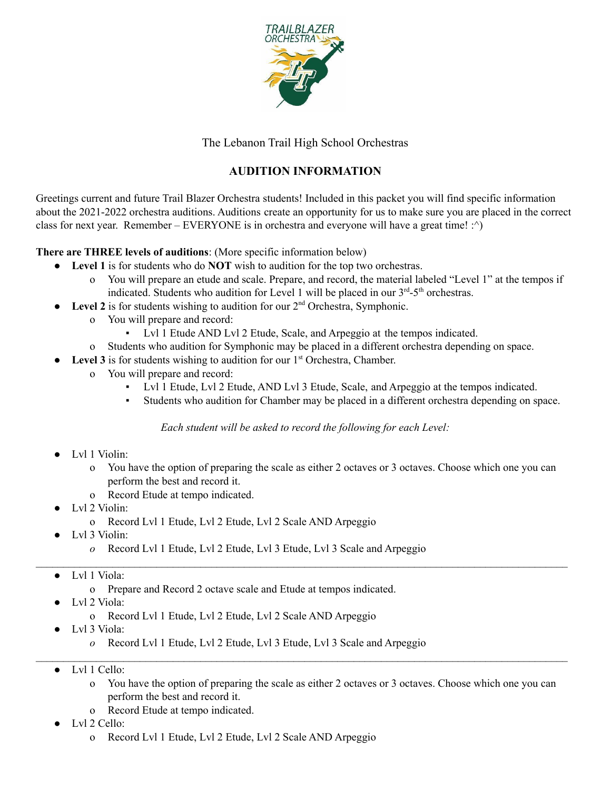

The Lebanon Trail High School Orchestras

## **AUDITION INFORMATION**

Greetings current and future Trail Blazer Orchestra students! Included in this packet you will find specific information about the 2021-2022 orchestra auditions. Auditions create an opportunity for us to make sure you are placed in the correct class for next year. Remember – EVERYONE is in orchestra and everyone will have a great time! :^)

**There are THREE levels of auditions**: (More specific information below)

- **Level 1** is for students who do **NOT** wish to audition for the top two orchestras.
	- o You will prepare an etude and scale. Prepare, and record, the material labeled "Level 1" at the tempos if indicated. Students who audition for Level 1 will be placed in our  $3<sup>rd</sup> - 5<sup>th</sup>$  orchestras.
- $\bullet$  Level 2 is for students wishing to audition for our  $2<sup>nd</sup>$  Orchestra, Symphonic.
	- o You will prepare and record:
		- Lvl 1 Etude AND Lvl 2 Etude, Scale, and Arpeggio at the tempos indicated.
	- o Students who audition for Symphonic may be placed in a different orchestra depending on space.
- **Level 3** is for students wishing to audition for our 1<sup>st</sup> Orchestra, Chamber.
	- o You will prepare and record:
		- Lvl 1 Etude, Lvl 2 Etude, AND Lvl 3 Etude, Scale, and Arpeggio at the tempos indicated.
		- Students who audition for Chamber may be placed in a different orchestra depending on space.

*Each student will be asked to record the following for each Level:*

 $\mathcal{L}_\mathcal{L} = \mathcal{L}_\mathcal{L} = \mathcal{L}_\mathcal{L} = \mathcal{L}_\mathcal{L} = \mathcal{L}_\mathcal{L} = \mathcal{L}_\mathcal{L} = \mathcal{L}_\mathcal{L} = \mathcal{L}_\mathcal{L} = \mathcal{L}_\mathcal{L} = \mathcal{L}_\mathcal{L} = \mathcal{L}_\mathcal{L} = \mathcal{L}_\mathcal{L} = \mathcal{L}_\mathcal{L} = \mathcal{L}_\mathcal{L} = \mathcal{L}_\mathcal{L} = \mathcal{L}_\mathcal{L} = \mathcal{L}_\mathcal{L}$ 

 $\mathcal{L}_\mathcal{L} = \mathcal{L}_\mathcal{L} = \mathcal{L}_\mathcal{L} = \mathcal{L}_\mathcal{L} = \mathcal{L}_\mathcal{L} = \mathcal{L}_\mathcal{L} = \mathcal{L}_\mathcal{L} = \mathcal{L}_\mathcal{L} = \mathcal{L}_\mathcal{L} = \mathcal{L}_\mathcal{L} = \mathcal{L}_\mathcal{L} = \mathcal{L}_\mathcal{L} = \mathcal{L}_\mathcal{L} = \mathcal{L}_\mathcal{L} = \mathcal{L}_\mathcal{L} = \mathcal{L}_\mathcal{L} = \mathcal{L}_\mathcal{L}$ 

- Lvl 1 Violin:
	- o You have the option of preparing the scale as either 2 octaves or 3 octaves. Choose which one you can perform the best and record it.
	- o Record Etude at tempo indicated.
- Lvl 2 Violin:
	- o Record Lvl 1 Etude, Lvl 2 Etude, Lvl 2 Scale AND Arpeggio
- Lvl 3 Violin:
	- *o* Record Lvl 1 Etude, Lvl 2 Etude, Lvl 3 Etude, Lvl 3 Scale and Arpeggio
- Lvl 1 Viola:
	- o Prepare and Record 2 octave scale and Etude at tempos indicated.
- Lvl 2 Viola:
	- o Record Lvl 1 Etude, Lvl 2 Etude, Lvl 2 Scale AND Arpeggio
- Lvl 3 Viola:
	- *o* Record Lvl 1 Etude, Lvl 2 Etude, Lvl 3 Etude, Lvl 3 Scale and Arpeggio
- Lvl 1 Cello:
	- o You have the option of preparing the scale as either 2 octaves or 3 octaves. Choose which one you can perform the best and record it.
	- o Record Etude at tempo indicated.
- Lvl 2 Cello:
	- o Record Lvl 1 Etude, Lvl 2 Etude, Lvl 2 Scale AND Arpeggio